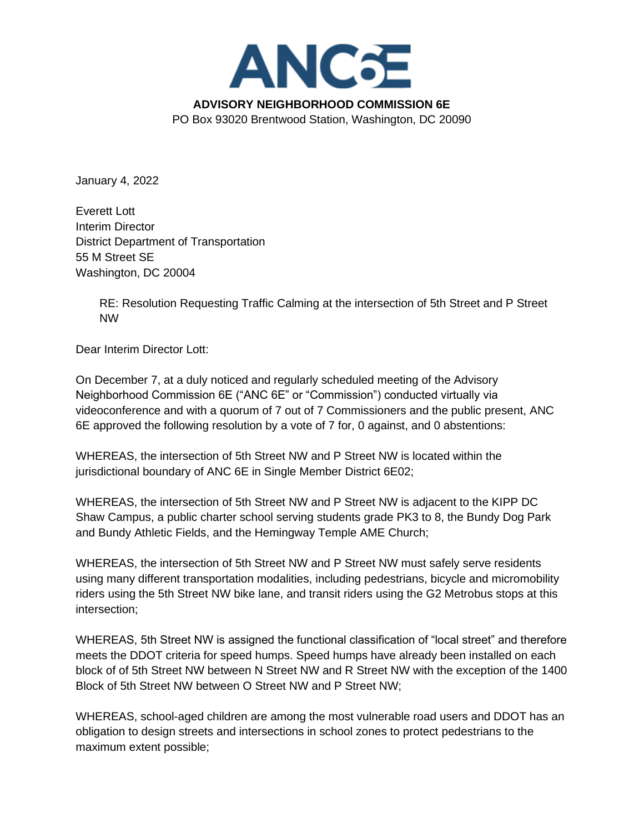

January 4, 2022

Everett Lott Interim Director District Department of Transportation 55 M Street SE Washington, DC 20004

> RE: Resolution Requesting Traffic Calming at the intersection of 5th Street and P Street NW

Dear Interim Director Lott:

On December 7, at a duly noticed and regularly scheduled meeting of the Advisory Neighborhood Commission 6E ("ANC 6E" or "Commission") conducted virtually via videoconference and with a quorum of 7 out of 7 Commissioners and the public present, ANC 6E approved the following resolution by a vote of 7 for, 0 against, and 0 abstentions:

WHEREAS, the intersection of 5th Street NW and P Street NW is located within the jurisdictional boundary of ANC 6E in Single Member District 6E02;

WHEREAS, the intersection of 5th Street NW and P Street NW is adjacent to the KIPP DC Shaw Campus, a public charter school serving students grade PK3 to 8, the Bundy Dog Park and Bundy Athletic Fields, and the Hemingway Temple AME Church;

WHEREAS, the intersection of 5th Street NW and P Street NW must safely serve residents using many different transportation modalities, including pedestrians, bicycle and micromobility riders using the 5th Street NW bike lane, and transit riders using the G2 Metrobus stops at this intersection;

WHEREAS, 5th Street NW is assigned the functional classification of "local street" and therefore meets the DDOT criteria for speed humps. Speed humps have already been installed on each block of of 5th Street NW between N Street NW and R Street NW with the exception of the 1400 Block of 5th Street NW between O Street NW and P Street NW;

WHEREAS, school-aged children are among the most vulnerable road users and DDOT has an obligation to design streets and intersections in school zones to protect pedestrians to the maximum extent possible;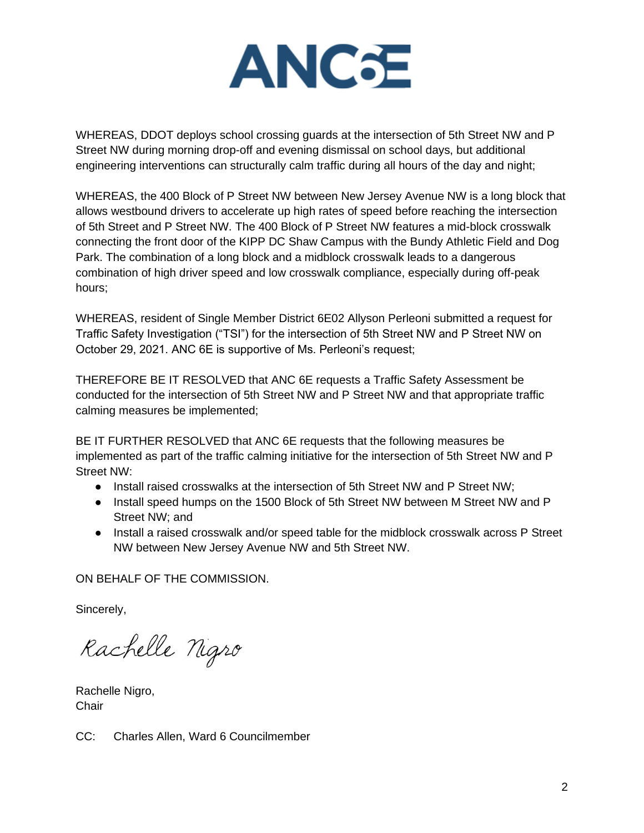

WHEREAS, DDOT deploys school crossing guards at the intersection of 5th Street NW and P Street NW during morning drop-off and evening dismissal on school days, but additional engineering interventions can structurally calm traffic during all hours of the day and night;

WHEREAS, the 400 Block of P Street NW between New Jersey Avenue NW is a long block that allows westbound drivers to accelerate up high rates of speed before reaching the intersection of 5th Street and P Street NW. The 400 Block of P Street NW features a mid-block crosswalk connecting the front door of the KIPP DC Shaw Campus with the Bundy Athletic Field and Dog Park. The combination of a long block and a midblock crosswalk leads to a dangerous combination of high driver speed and low crosswalk compliance, especially during off-peak hours;

WHEREAS, resident of Single Member District 6E02 Allyson Perleoni submitted a request for Traffic Safety Investigation ("TSI") for the intersection of 5th Street NW and P Street NW on October 29, 2021. ANC 6E is supportive of Ms. Perleoni's request;

THEREFORE BE IT RESOLVED that ANC 6E requests a Traffic Safety Assessment be conducted for the intersection of 5th Street NW and P Street NW and that appropriate traffic calming measures be implemented;

BE IT FURTHER RESOLVED that ANC 6E requests that the following measures be implemented as part of the traffic calming initiative for the intersection of 5th Street NW and P Street NW:

- Install raised crosswalks at the intersection of 5th Street NW and P Street NW;
- Install speed humps on the 1500 Block of 5th Street NW between M Street NW and P Street NW; and
- Install a raised crosswalk and/or speed table for the midblock crosswalk across P Street NW between New Jersey Avenue NW and 5th Street NW.

ON BEHALF OF THE COMMISSION.

Sincerely,

Rachelle Nigro

Rachelle Nigro, **Chair** 

CC: Charles Allen, Ward 6 Councilmember